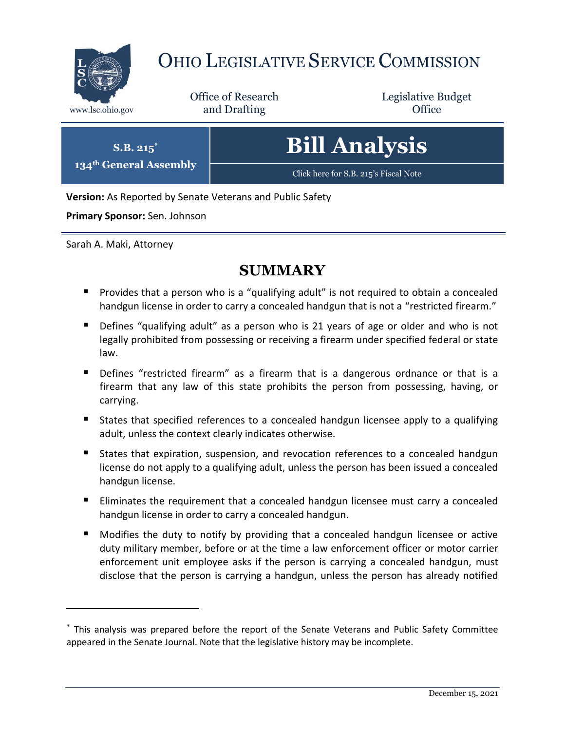

# OHIO LEGISLATIVE SERVICE COMMISSION

Office of Research www.lsc.ohio.gov **and Drafting Office** 

Legislative Budget

| <b>Bill Analysis</b> |
|----------------------|
|----------------------|

[Click here for S.B. 215](https://www.legislature.ohio.gov/legislation/legislation-documents?id=GA134-SB-215)'s Fiscal Note

**Version:** As Reported by Senate Veterans and Public Safety

**Primary Sponsor:** Sen. Johnson

**S.B. 215\* 134th General Assembly**

Sarah A. Maki, Attorney

 $\overline{a}$ 

# **SUMMARY**

- **Provides that a person who is a "qualifying adult" is not required to obtain a concealed** handgun license in order to carry a concealed handgun that is not a "restricted firearm."
- Defines "qualifying adult" as a person who is 21 years of age or older and who is not legally prohibited from possessing or receiving a firearm under specified federal or state law.
- **Defines** "restricted firearm" as a firearm that is a dangerous ordnance or that is a firearm that any law of this state prohibits the person from possessing, having, or carrying.
- **States that specified references to a concealed handgun licensee apply to a qualifying** adult, unless the context clearly indicates otherwise.
- States that expiration, suspension, and revocation references to a concealed handgun license do not apply to a qualifying adult, unless the person has been issued a concealed handgun license.
- **Eliminates the requirement that a concealed handgun licensee must carry a concealed** handgun license in order to carry a concealed handgun.
- Modifies the duty to notify by providing that a concealed handgun licensee or active duty military member, before or at the time a law enforcement officer or motor carrier enforcement unit employee asks if the person is carrying a concealed handgun, must disclose that the person is carrying a handgun, unless the person has already notified

<sup>\*</sup> This analysis was prepared before the report of the Senate Veterans and Public Safety Committee appeared in the Senate Journal. Note that the legislative history may be incomplete.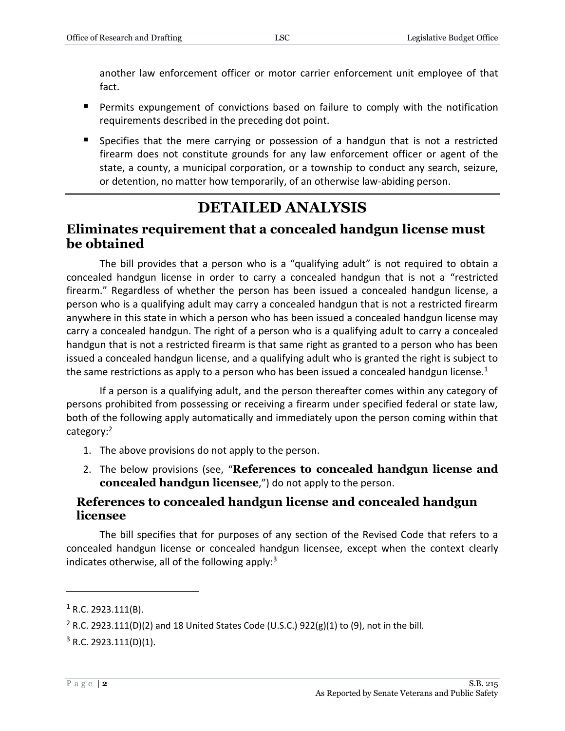another law enforcement officer or motor carrier enforcement unit employee of that fact.

- Permits expungement of convictions based on failure to comply with the notification requirements described in the preceding dot point.
- **Specifies that the mere carrying or possession of a handgun that is not a restricted** firearm does not constitute grounds for any law enforcement officer or agent of the state, a county, a municipal corporation, or a township to conduct any search, seizure, or detention, no matter how temporarily, of an otherwise law-abiding person.

# **DETAILED ANALYSIS**

## **Eliminates requirement that a concealed handgun license must be obtained**

The bill provides that a person who is a "qualifying adult" is not required to obtain a concealed handgun license in order to carry a concealed handgun that is not a "restricted firearm." Regardless of whether the person has been issued a concealed handgun license, a person who is a qualifying adult may carry a concealed handgun that is not a restricted firearm anywhere in this state in which a person who has been issued a concealed handgun license may carry a concealed handgun. The right of a person who is a qualifying adult to carry a concealed handgun that is not a restricted firearm is that same right as granted to a person who has been issued a concealed handgun license, and a qualifying adult who is granted the right is subject to the same restrictions as apply to a person who has been issued a concealed handgun license.<sup>1</sup>

If a person is a qualifying adult, and the person thereafter comes within any category of persons prohibited from possessing or receiving a firearm under specified federal or state law, both of the following apply automatically and immediately upon the person coming within that category:<sup>2</sup>

- 1. The above provisions do not apply to the person.
- 2. The below provisions (see, "**References to concealed handgun license and concealed handgun licensee**,") do not apply to the person.

#### **References to concealed handgun license and concealed handgun licensee**

The bill specifies that for purposes of any section of the Revised Code that refers to a concealed handgun license or concealed handgun licensee, except when the context clearly indicates otherwise, all of the following apply: $3$ 

 $1$  R.C. 2923.111(B).

<sup>&</sup>lt;sup>2</sup> R.C. 2923.111(D)(2) and 18 United States Code (U.S.C.) 922(g)(1) to (9), not in the bill.

 $3$  R.C. 2923.111(D)(1).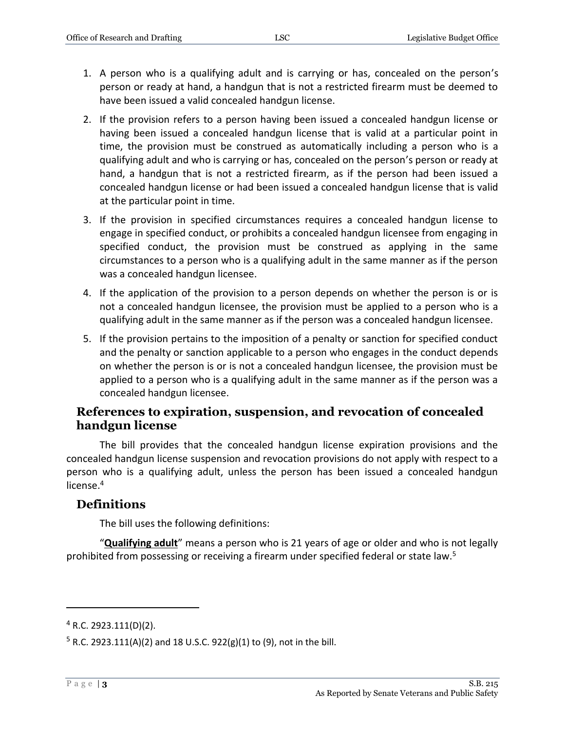- 1. A person who is a qualifying adult and is carrying or has, concealed on the person's person or ready at hand, a handgun that is not a restricted firearm must be deemed to have been issued a valid concealed handgun license.
- 2. If the provision refers to a person having been issued a concealed handgun license or having been issued a concealed handgun license that is valid at a particular point in time, the provision must be construed as automatically including a person who is a qualifying adult and who is carrying or has, concealed on the person's person or ready at hand, a handgun that is not a restricted firearm, as if the person had been issued a concealed handgun license or had been issued a concealed handgun license that is valid at the particular point in time.
- 3. If the provision in specified circumstances requires a concealed handgun license to engage in specified conduct, or prohibits a concealed handgun licensee from engaging in specified conduct, the provision must be construed as applying in the same circumstances to a person who is a qualifying adult in the same manner as if the person was a concealed handgun licensee.
- 4. If the application of the provision to a person depends on whether the person is or is not a concealed handgun licensee, the provision must be applied to a person who is a qualifying adult in the same manner as if the person was a concealed handgun licensee.
- 5. If the provision pertains to the imposition of a penalty or sanction for specified conduct and the penalty or sanction applicable to a person who engages in the conduct depends on whether the person is or is not a concealed handgun licensee, the provision must be applied to a person who is a qualifying adult in the same manner as if the person was a concealed handgun licensee.

#### **References to expiration, suspension, and revocation of concealed handgun license**

The bill provides that the concealed handgun license expiration provisions and the concealed handgun license suspension and revocation provisions do not apply with respect to a person who is a qualifying adult, unless the person has been issued a concealed handgun license.<sup>4</sup>

#### **Definitions**

The bill uses the following definitions:

"**Qualifying adult**" means a person who is 21 years of age or older and who is not legally prohibited from possessing or receiving a firearm under specified federal or state law.<sup>5</sup>

 $4$  R.C. 2923.111(D)(2).

 $5$  R.C. 2923.111(A)(2) and 18 U.S.C. 922(g)(1) to (9), not in the bill.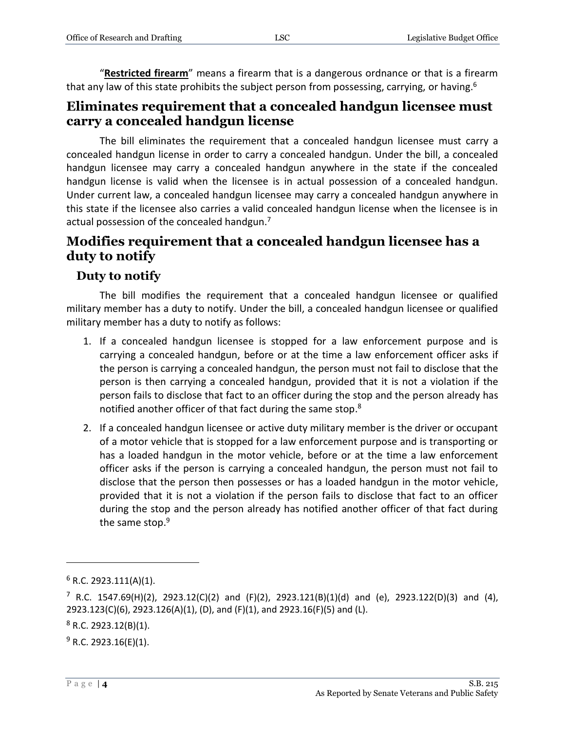"**Restricted firearm**" means a firearm that is a dangerous ordnance or that is a firearm that any law of this state prohibits the subject person from possessing, carrying, or having.<sup>6</sup>

## **Eliminates requirement that a concealed handgun licensee must carry a concealed handgun license**

The bill eliminates the requirement that a concealed handgun licensee must carry a concealed handgun license in order to carry a concealed handgun. Under the bill, a concealed handgun licensee may carry a concealed handgun anywhere in the state if the concealed handgun license is valid when the licensee is in actual possession of a concealed handgun. Under current law, a concealed handgun licensee may carry a concealed handgun anywhere in this state if the licensee also carries a valid concealed handgun license when the licensee is in actual possession of the concealed handgun.<sup>7</sup>

## **Modifies requirement that a concealed handgun licensee has a duty to notify**

## **Duty to notify**

The bill modifies the requirement that a concealed handgun licensee or qualified military member has a duty to notify. Under the bill, a concealed handgun licensee or qualified military member has a duty to notify as follows:

- 1. If a concealed handgun licensee is stopped for a law enforcement purpose and is carrying a concealed handgun, before or at the time a law enforcement officer asks if the person is carrying a concealed handgun, the person must not fail to disclose that the person is then carrying a concealed handgun, provided that it is not a violation if the person fails to disclose that fact to an officer during the stop and the person already has notified another officer of that fact during the same stop.<sup>8</sup>
- 2. If a concealed handgun licensee or active duty military member is the driver or occupant of a motor vehicle that is stopped for a law enforcement purpose and is transporting or has a loaded handgun in the motor vehicle, before or at the time a law enforcement officer asks if the person is carrying a concealed handgun, the person must not fail to disclose that the person then possesses or has a loaded handgun in the motor vehicle, provided that it is not a violation if the person fails to disclose that fact to an officer during the stop and the person already has notified another officer of that fact during the same stop.<sup>9</sup>

 $6$  R.C. 2923.111(A)(1).

 $7$  R.C. 1547.69(H)(2), 2923.12(C)(2) and (F)(2), 2923.121(B)(1)(d) and (e), 2923.122(D)(3) and (4), 2923.123(C)(6), 2923.126(A)(1), (D), and (F)(1), and 2923.16(F)(5) and (L).

 $8$  R.C. 2923.12(B)(1).

 $9$  R.C. 2923.16(E)(1).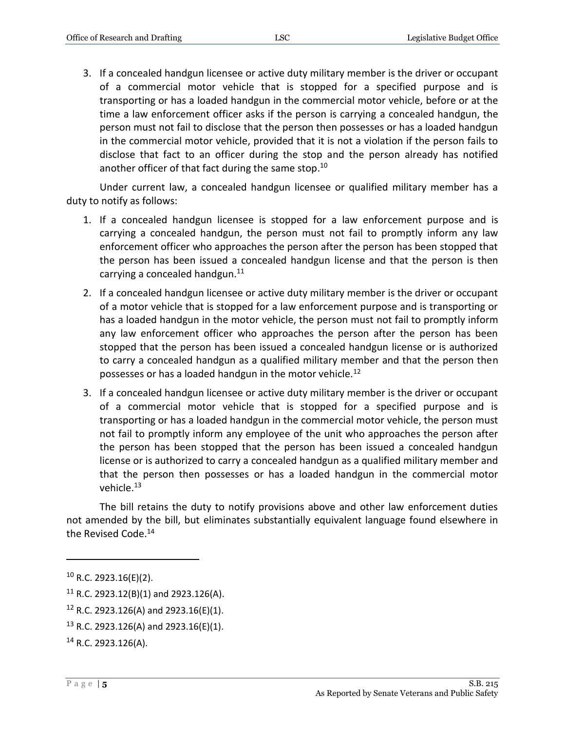3. If a concealed handgun licensee or active duty military member is the driver or occupant of a commercial motor vehicle that is stopped for a specified purpose and is transporting or has a loaded handgun in the commercial motor vehicle, before or at the time a law enforcement officer asks if the person is carrying a concealed handgun, the person must not fail to disclose that the person then possesses or has a loaded handgun in the commercial motor vehicle, provided that it is not a violation if the person fails to disclose that fact to an officer during the stop and the person already has notified another officer of that fact during the same stop.<sup>10</sup>

Under current law, a concealed handgun licensee or qualified military member has a duty to notify as follows:

- 1. If a concealed handgun licensee is stopped for a law enforcement purpose and is carrying a concealed handgun, the person must not fail to promptly inform any law enforcement officer who approaches the person after the person has been stopped that the person has been issued a concealed handgun license and that the person is then carrying a concealed handgun.<sup>11</sup>
- 2. If a concealed handgun licensee or active duty military member is the driver or occupant of a motor vehicle that is stopped for a law enforcement purpose and is transporting or has a loaded handgun in the motor vehicle, the person must not fail to promptly inform any law enforcement officer who approaches the person after the person has been stopped that the person has been issued a concealed handgun license or is authorized to carry a concealed handgun as a qualified military member and that the person then possesses or has a loaded handgun in the motor vehicle.<sup>12</sup>
- 3. If a concealed handgun licensee or active duty military member is the driver or occupant of a commercial motor vehicle that is stopped for a specified purpose and is transporting or has a loaded handgun in the commercial motor vehicle, the person must not fail to promptly inform any employee of the unit who approaches the person after the person has been stopped that the person has been issued a concealed handgun license or is authorized to carry a concealed handgun as a qualified military member and that the person then possesses or has a loaded handgun in the commercial motor vehicle.<sup>13</sup>

The bill retains the duty to notify provisions above and other law enforcement duties not amended by the bill, but eliminates substantially equivalent language found elsewhere in the Revised Code.<sup>14</sup>

 $10$  R.C. 2923.16(E)(2).

 $11$  R.C. 2923.12(B)(1) and 2923.126(A).

 $12$  R.C. 2923.126(A) and 2923.16(E)(1).

<sup>13</sup> R.C. 2923.126(A) and 2923.16(E)(1).

<sup>14</sup> R.C. 2923.126(A).